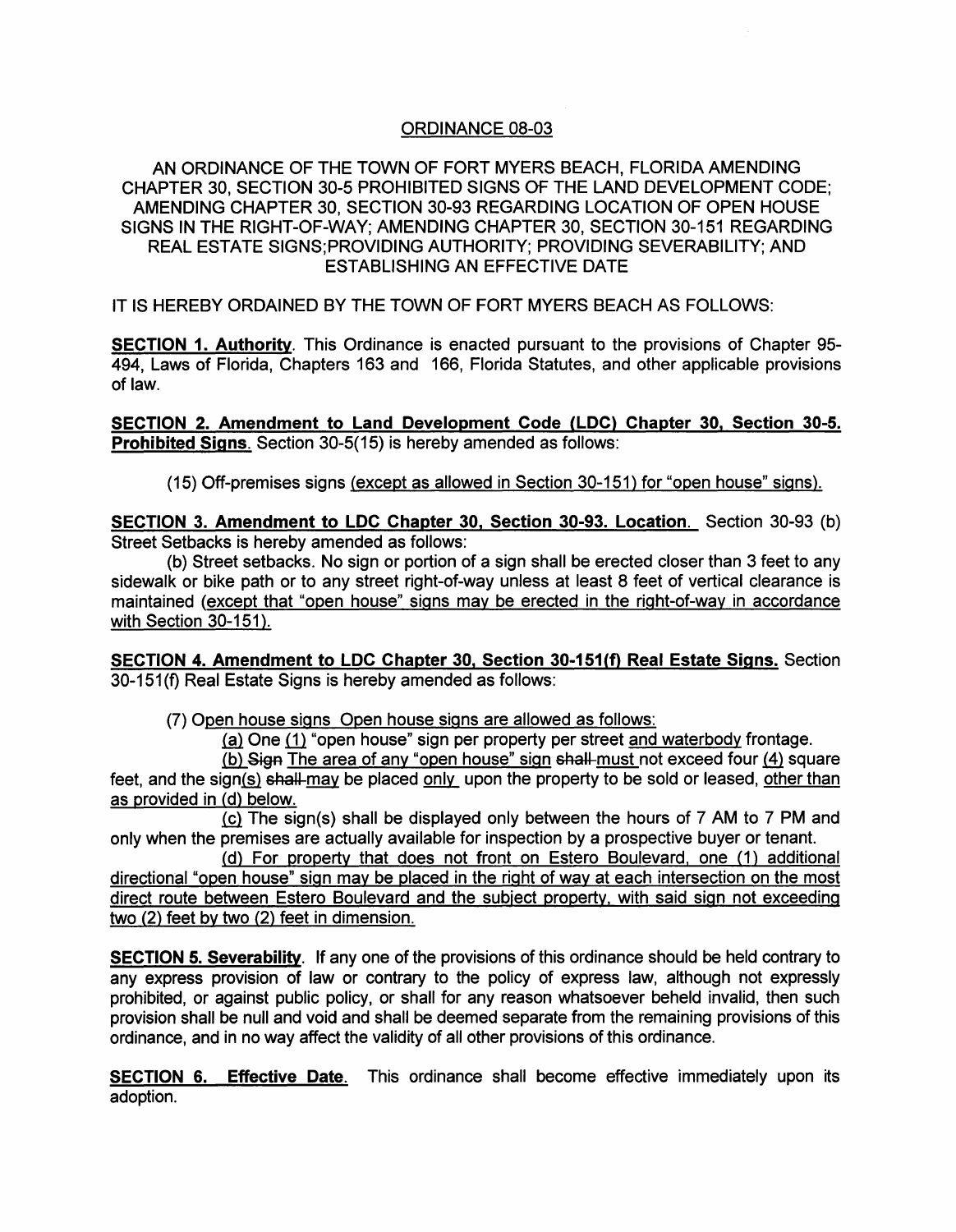## ORDINANCE 08-03

## AN ORDINANCE OF THE TOWN OF FORT MYERS BEACH, FLORIDA AMENDING CHAPTER 30, SECTION 30-5 PROHIBITED SIGNS OF THE LAND DEVELOPMENT CODE; AMENDING CHAPTER 30, SECTION 30-93 REGARDING LOCATION OF OPEN HOUSE SIGNS IN THE RIGHT-OF-WAY; AMENDING CHAPTER 30, SECTION 30-151 REGARDING REAL ESTATE SIGNS;PROVIDING AUTHORITY; PROVIDING SEVERABILITY; AND ESTABLISHING AN EFFECTIVE DATE

IT IS HEREBY ORDAINED BY THE TOWN OF FORT MYERS BEACH AS FOLLOWS:

SECTION 1. Authority. This Ordinance is enacted pursuant to the provisions of Chapter 95- 494, Laws of Florida, Chapters 163 and 166, Florida Statutes, and other applicable provisions of law.

SECTION 2. Amendment to Land Development Code (LDC) Chapter 30. Section 30-5. **Prohibited Signs.** Section 30-5(15) is hereby amended as follows:

(15) Off-premises signs (except as allowed in Section 30-151) for "open house" signs).

SECTION 3. Amendment to LDC Chapter 30. Section 30-93. Location. Section 30-93 (b) Street Setbacks is hereby amended as follows:

(b) Street setbacks. No sign or portion of a sign shall be erected closer than 3 feet to any sidewalk or bike path or to any street right-of-way unless at least 8 feet of vertical clearance is maintained (except that "open house" signs may be erected in the right-of-way in accordance with Section 30-151).

SECTION 4. Amendment to LDC Chapter 30, Section 30-151(f) Real Estate Signs. Section 30-151(f) Real Estate Signs is hereby amended as follows:

(7) Open house signs Open house signs are allowed as follows:

(a) One (1) "open house" sign per property per street and waterbody frontage.

(b) Sign The area of any "open house" sign shall must not exceed four (4) square feet, and the sign(s) shall-may be placed only upon the property to be sold or leased, other than as provided in (d) below.

 $~$  (c) The sign(s) shall be displayed only between the hours of 7 AM to 7 PM and only when the premises are actually available for inspection by a prospective buyer or tenant.

(d) For property that does not front on Estero Boulevard. one (1) additional directional "open house" sign may be placed in the right of way at each intersection on the most direct route between Estero Boulevard and the subject property. with said sign not exceeding two (2) feet by two (2) feet in dimension.

SECTION 5. Severability. If any one of the provisions of this ordinance should be held contrary to any express provision of law or contrary to the policy of express law, although not expressly prohibited, or against public policy, or shall for any reason whatsoever beheld invalid, then such provision shall be null and void and shall be deemed separate from the remaining provisions of this ordinance, and in no way affect the validity of all other provisions of this ordinance.

**SECTION 6. Effective Date**. This ordinance shall become effective immediately upon its adoption.